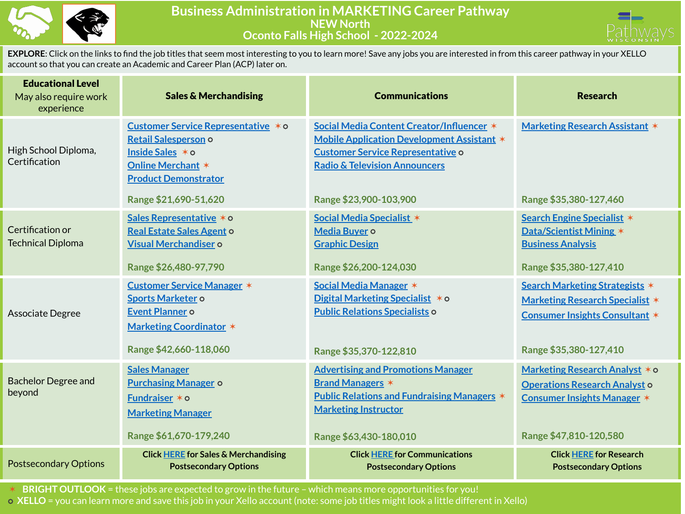

## **Business Administration in MARKETING Career Pathway NEW North Oconto Falls High School - 2022-2024**



**EXPLORE**: Click on the links to find the job titles that seem most interesting to you to learn more! Save any jobs you are interested in from this career pathway in your XELLO account so that you can create an Academic and Career Plan (ACP) later on.

| <b>Educational Level</b><br>May also require work<br>experience | <b>Sales &amp; Merchandising</b>                                                                                                                                   | <b>Communications</b>                                                                                                                                                                                     | <b>Research</b>                                                                                                                                    |
|-----------------------------------------------------------------|--------------------------------------------------------------------------------------------------------------------------------------------------------------------|-----------------------------------------------------------------------------------------------------------------------------------------------------------------------------------------------------------|----------------------------------------------------------------------------------------------------------------------------------------------------|
| High School Diploma,<br>Certification                           | Customer Service Representative *0<br>Retail Salesperson o<br>Inside Sales * o<br><b>Online Merchant *</b><br><b>Product Demonstrator</b><br>Range \$21,690-51,620 | Social Media Content Creator/Influencer *<br>Mobile Application Development Assistant *<br><b>Customer Service Representative o</b><br><b>Radio &amp; Television Announcers</b><br>Range \$23,900-103,900 | Marketing Research Assistant *<br>Range \$35,380-127,460                                                                                           |
| Certification or<br><b>Technical Diploma</b>                    | Sales Representative * o<br>Real Estate Sales Agent o<br>Visual Merchandiser o<br>Range \$26,480-97,790                                                            | Social Media Specialist *<br>Media Buyer o<br><b>Graphic Design</b><br>Range \$26,200-124,030                                                                                                             | Search Engine Specialist *<br>Data/Scientist Mining *<br><b>Business Analysis</b><br>Range \$35,380-127,410                                        |
| Associate Degree                                                | <b>Customer Service Manager *</b><br><b>Sports Marketer o</b><br>Event Planner o<br><b>Marketing Coordinator *</b><br>Range \$42,660-118,060                       | Social Media Manager *<br>Digital Marketing Specialist * 0<br><b>Public Relations Specialists o</b><br>Range \$35,370-122,810                                                                             | <b>Search Marketing Strategists *</b><br><b>Marketing Research Specialist *</b><br><b>Consumer Insights Consultant *</b><br>Range \$35,380-127,410 |
| <b>Bachelor Degree and</b><br>beyond                            | <b>Sales Manager</b><br><b>Purchasing Manager o</b><br>Fundraiser * o<br><b>Marketing Manager</b><br>Range \$61,670-179,240                                        | <b>Advertising and Promotions Manager</b><br><b>Brand Managers *</b><br><b>Public Relations and Fundraising Managers *</b><br><b>Marketing Instructor</b><br>Range \$63,430-180,010                       | Marketing Research Analyst * o<br><b>Operations Research Analyst o</b><br><b>Consumer Insights Manager *</b><br>Range \$47,810-120,580             |
| <b>Postsecondary Options</b>                                    | <b>Click HERE for Sales &amp; Merchandising</b><br><b>Postsecondary Options</b>                                                                                    | <b>Click HERE for Communications</b><br><b>Postsecondary Options</b>                                                                                                                                      | <b>Click HERE for Research</b><br><b>Postsecondary Options</b>                                                                                     |

BRIGHT OUTLOOK = these jobs are expected to grow in the future - which means more opportunities for you! ⭘ **XELLO** = you can learn more and save this job in your Xello account (note: some job titles might look a little different in Xello)